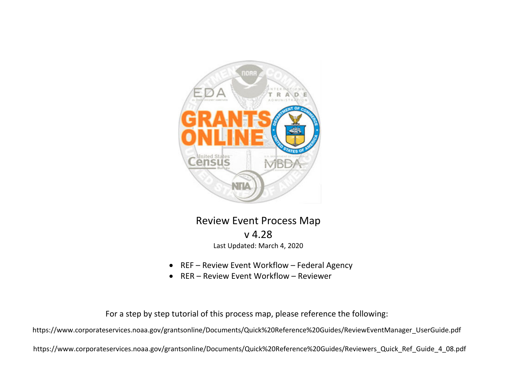

## Review Event Process Map v 4.28Last Updated: March 4, 2020

- REF Review Event Workflow Federal Agency
- $\bullet$ RER – Review Event Workflow – Reviewer

For a step by step tutorial of this process map, please reference the following:

https://www.corporateservices.noaa.gov/grantsonline/Documents/Quick%20Reference%20Guides/ReviewEventManager\_UserGuide.pdf

https://www.corporateservices.noaa.gov/grantsonline/Documents/Quick%20Reference%20Guides/Reviewers\_Quick\_Ref\_Guide\_4\_08.pdf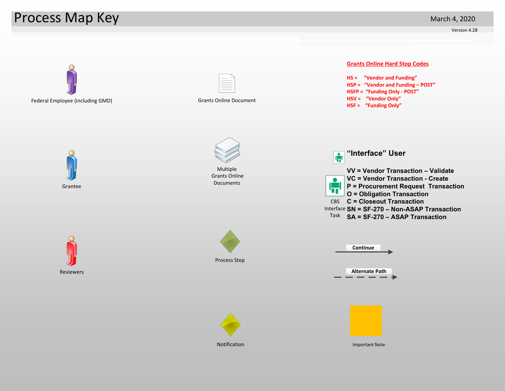## Process Map Key

Version 4.28

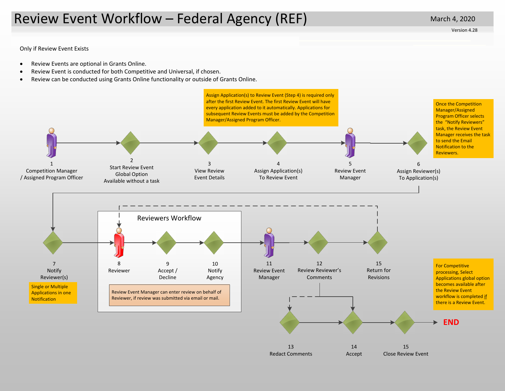## Review Event Workflow – Federal Agency (REF)

Only if Review Event Exists

- $\bullet$ Review Events are optional in Grants Online.
- $\bullet$ Review Event is conducted for both Competitive and Universal, if chosen.
- $\bullet$ Review can be conducted using Grants Online functionality or outside of Grants Online.



March 4, 2020

Version 4.28